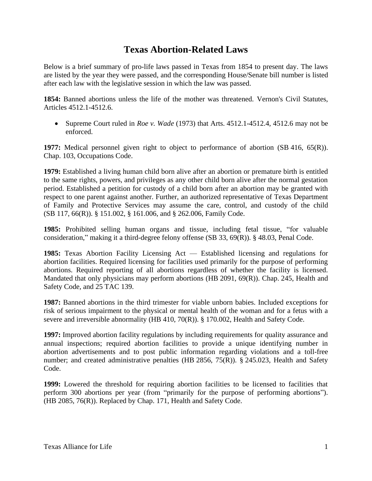## **Texas Abortion-Related Laws**

Below is a brief summary of pro-life laws passed in Texas from 1854 to present day. The laws are listed by the year they were passed, and the corresponding House/Senate bill number is listed after each law with the legislative session in which the law was passed.

**1854:** Banned abortions unless the life of the mother was threatened. Vernon's Civil Statutes, Articles 4512.1-4512.6.

• Supreme Court ruled in *Roe v. Wade* (1973) that Arts. 4512.1-4512.4, 4512.6 may not be enforced.

**1977:** Medical personnel given right to object to performance of abortion (SB 416, 65(R)). Chap. 103, Occupations Code.

**1979:** Established a living human child born alive after an abortion or premature birth is entitled to the same rights, powers, and privileges as any other child born alive after the normal gestation period. Established a petition for custody of a child born after an abortion may be granted with respect to one parent against another. Further, an authorized representative of Texas Department of Family and Protective Services may assume the care, control, and custody of the child (SB 117, 66(R)). § 151.002, § 161.006, and § 262.006, Family Code.

**1985:** Prohibited selling human organs and tissue, including fetal tissue, "for valuable consideration," making it a third-degree felony offense (SB 33, 69(R)). § 48.03, Penal Code.

**1985:** Texas Abortion Facility Licensing Act — Established licensing and regulations for abortion facilities. Required licensing for facilities used primarily for the purpose of performing abortions. Required reporting of all abortions regardless of whether the facility is licensed. Mandated that only physicians may perform abortions (HB 2091, 69(R)). Chap. 245, Health and Safety Code, and 25 TAC 139.

**1987:** Banned abortions in the third trimester for viable unborn babies. Included exceptions for risk of serious impairment to the physical or mental health of the woman and for a fetus with a severe and irreversible abnormality (HB 410, 70(R)). § 170.002, Health and Safety Code.

**1997:** Improved abortion facility regulations by including requirements for quality assurance and annual inspections; required abortion facilities to provide a unique identifying number in abortion advertisements and to post public information regarding violations and a toll-free number; and created administrative penalties (HB 2856, 75(R)).  $\S$  245.023, Health and Safety Code.

**1999:** Lowered the threshold for requiring abortion facilities to be licensed to facilities that perform 300 abortions per year (from "primarily for the purpose of performing abortions"). (HB 2085, 76(R)). Replaced by Chap. 171, Health and Safety Code.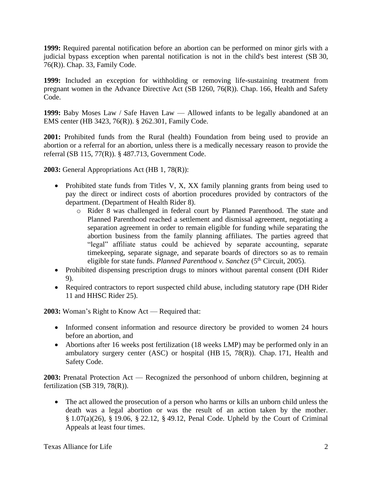**1999:** Required parental notification before an abortion can be performed on minor girls with a judicial bypass exception when parental notification is not in the child's best interest (SB 30, 76(R)). Chap. 33, Family Code.

**1999:** Included an exception for withholding or removing life-sustaining treatment from pregnant women in the Advance Directive Act (SB 1260, 76(R)). Chap. 166, Health and Safety Code.

**1999:** Baby Moses Law / Safe Haven Law — Allowed infants to be legally abandoned at an EMS center (HB 3423, 76(R)). § 262.301, Family Code.

**2001:** Prohibited funds from the Rural (health) Foundation from being used to provide an abortion or a referral for an abortion, unless there is a medically necessary reason to provide the referral (SB 115, 77(R)). § 487.713, Government Code.

**2003:** General Appropriations Act (HB 1, 78(R)):

- Prohibited state funds from Titles V, X, XX family planning grants from being used to pay the direct or indirect costs of abortion procedures provided by contractors of the department. (Department of Health Rider 8).
	- o Rider 8 was challenged in federal court by Planned Parenthood. The state and Planned Parenthood reached a settlement and dismissal agreement, negotiating a separation agreement in order to remain eligible for funding while separating the abortion business from the family planning affiliates. The parties agreed that "legal" affiliate status could be achieved by separate accounting, separate timekeeping, separate signage, and separate boards of directors so as to remain eligible for state funds. *Planned Parenthood v. Sanchez* (5<sup>th</sup> Circuit, 2005).
- Prohibited dispensing prescription drugs to minors without parental consent (DH Rider 9).
- Required contractors to report suspected child abuse, including statutory rape (DH Rider 11 and HHSC Rider 25).

**2003:** Woman's Right to Know Act — Required that:

- Informed consent information and resource directory be provided to women 24 hours before an abortion, and
- Abortions after 16 weeks post fertilization (18 weeks LMP) may be performed only in an ambulatory surgery center (ASC) or hospital (HB 15, 78(R)). Chap. 171, Health and Safety Code.

**2003:** Prenatal Protection Act — Recognized the personhood of unborn children, beginning at fertilization (SB 319, 78(R)).

• The act allowed the prosecution of a person who harms or kills an unborn child unless the death was a legal abortion or was the result of an action taken by the mother. § 1.07(a)(26), § 19.06, § 22.12, § 49.12, Penal Code. Upheld by the Court of Criminal Appeals at least four times.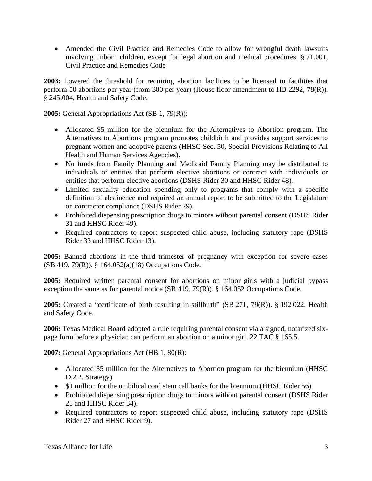• Amended the Civil Practice and Remedies Code to allow for wrongful death lawsuits involving unborn children, except for legal abortion and medical procedures. § 71.001, Civil Practice and Remedies Code

**2003:** Lowered the threshold for requiring abortion facilities to be licensed to facilities that perform 50 abortions per year (from 300 per year) (House floor amendment to HB 2292, 78(R)). § 245.004, Health and Safety Code.

**2005:** General Appropriations Act (SB 1, 79(R)):

- Allocated \$5 million for the biennium for the Alternatives to Abortion program. The Alternatives to Abortions program promotes childbirth and provides support services to pregnant women and adoptive parents (HHSC Sec. 50, Special Provisions Relating to All Health and Human Services Agencies).
- No funds from Family Planning and Medicaid Family Planning may be distributed to individuals or entities that perform elective abortions or contract with individuals or entities that perform elective abortions (DSHS Rider 30 and HHSC Rider 48).
- Limited sexuality education spending only to programs that comply with a specific definition of abstinence and required an annual report to be submitted to the Legislature on contractor compliance (DSHS Rider 29).
- Prohibited dispensing prescription drugs to minors without parental consent (DSHS Rider 31 and HHSC Rider 49).
- Required contractors to report suspected child abuse, including statutory rape (DSHS Rider 33 and HHSC Rider 13).

**2005:** Banned abortions in the third trimester of pregnancy with exception for severe cases (SB 419, 79(R)). § 164.052(a)(18) Occupations Code.

**2005:** Required written parental consent for abortions on minor girls with a judicial bypass exception the same as for parental notice (SB 419, 79(R)). § 164.052 Occupations Code.

**2005:** Created a "certificate of birth resulting in stillbirth" (SB 271, 79(R)). § 192.022, Health and Safety Code.

**2006:** Texas Medical Board adopted a rule requiring parental consent via a signed, notarized sixpage form before a physician can perform an abortion on a minor girl. 22 TAC § 165.5.

**2007:** General Appropriations Act (HB 1, 80(R):

- Allocated \$5 million for the Alternatives to Abortion program for the biennium (HHSC D.2.2. Strategy)
- \$1 million for the umbilical cord stem cell banks for the biennium (HHSC Rider 56).
- Prohibited dispensing prescription drugs to minors without parental consent (DSHS Rider 25 and HHSC Rider 34).
- Required contractors to report suspected child abuse, including statutory rape (DSHS) Rider 27 and HHSC Rider 9).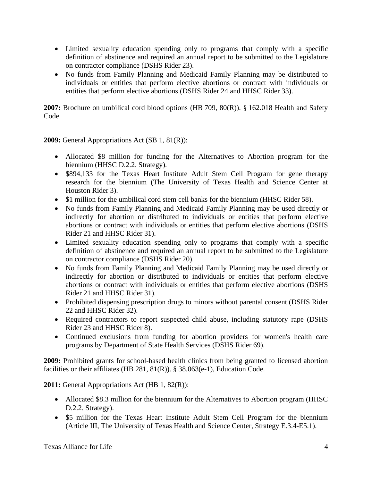- Limited sexuality education spending only to programs that comply with a specific definition of abstinence and required an annual report to be submitted to the Legislature on contractor compliance (DSHS Rider 23).
- No funds from Family Planning and Medicaid Family Planning may be distributed to individuals or entities that perform elective abortions or contract with individuals or entities that perform elective abortions (DSHS Rider 24 and HHSC Rider 33).

**2007:** Brochure on umbilical cord blood options (HB 709, 80(R)). § 162.018 Health and Safety Code.

**2009:** General Appropriations Act (SB 1, 81(R)):

- Allocated \$8 million for funding for the Alternatives to Abortion program for the biennium (HHSC D.2.2. Strategy).
- \$894,133 for the Texas Heart Institute Adult Stem Cell Program for gene therapy research for the biennium (The University of Texas Health and Science Center at Houston Rider 3).
- \$1 million for the umbilical cord stem cell banks for the biennium (HHSC Rider 58).
- No funds from Family Planning and Medicaid Family Planning may be used directly or indirectly for abortion or distributed to individuals or entities that perform elective abortions or contract with individuals or entities that perform elective abortions (DSHS Rider 21 and HHSC Rider 31).
- Limited sexuality education spending only to programs that comply with a specific definition of abstinence and required an annual report to be submitted to the Legislature on contractor compliance (DSHS Rider 20).
- No funds from Family Planning and Medicaid Family Planning may be used directly or indirectly for abortion or distributed to individuals or entities that perform elective abortions or contract with individuals or entities that perform elective abortions (DSHS Rider 21 and HHSC Rider 31).
- Prohibited dispensing prescription drugs to minors without parental consent (DSHS Rider 22 and HHSC Rider 32).
- Required contractors to report suspected child abuse, including statutory rape (DSHS Rider 23 and HHSC Rider 8).
- Continued exclusions from funding for abortion providers for women's health care programs by Department of State Health Services (DSHS Rider 69).

**2009:** Prohibited grants for school-based health clinics from being granted to licensed abortion facilities or their affiliates (HB 281, 81(R)). § 38.063(e-1), Education Code.

**2011:** General Appropriations Act (HB 1, 82(R)):

- Allocated \$8.3 million for the biennium for the Alternatives to Abortion program (HHSC) D.2.2. Strategy).
- \$5 million for the Texas Heart Institute Adult Stem Cell Program for the biennium (Article III, The University of Texas Health and Science Center, Strategy E.3.4-E5.1).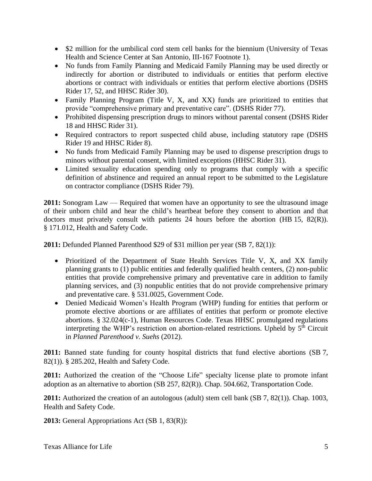- \$2 million for the umbilical cord stem cell banks for the biennium (University of Texas Health and Science Center at San Antonio, III-167 Footnote 1).
- No funds from Family Planning and Medicaid Family Planning may be used directly or indirectly for abortion or distributed to individuals or entities that perform elective abortions or contract with individuals or entities that perform elective abortions (DSHS Rider 17, 52, and HHSC Rider 30).
- Family Planning Program (Title V, X, and XX) funds are prioritized to entities that provide "comprehensive primary and preventative care". (DSHS Rider 77).
- Prohibited dispensing prescription drugs to minors without parental consent (DSHS Rider 18 and HHSC Rider 31).
- Required contractors to report suspected child abuse, including statutory rape (DSHS) Rider 19 and HHSC Rider 8).
- No funds from Medicaid Family Planning may be used to dispense prescription drugs to minors without parental consent, with limited exceptions (HHSC Rider 31).
- Limited sexuality education spending only to programs that comply with a specific definition of abstinence and required an annual report to be submitted to the Legislature on contractor compliance (DSHS Rider 79).

**2011:** Sonogram Law — Required that women have an opportunity to see the ultrasound image of their unborn child and hear the child's heartbeat before they consent to abortion and that doctors must privately consult with patients 24 hours before the abortion (HB 15, 82(R)). § 171.012, Health and Safety Code.

**2011:** Defunded Planned Parenthood \$29 of \$31 million per year (SB 7, 82(1)):

- Prioritized of the Department of State Health Services Title V, X, and XX family planning grants to (1) public entities and federally qualified health centers, (2) non-public entities that provide comprehensive primary and preventative care in addition to family planning services, and (3) nonpublic entities that do not provide comprehensive primary and preventative care. § 531.0025, Government Code.
- Denied Medicaid Women's Health Program (WHP) funding for entities that perform or promote elective abortions or are affiliates of entities that perform or promote elective abortions. § 32.024(c-1), Human Resources Code. Texas HHSC promulgated regulations interpreting the WHP's restriction on abortion-related restrictions. Upheld by 5<sup>th</sup> Circuit in *Planned Parenthood v. Suehs* (2012).

**2011:** Banned state funding for county hospital districts that fund elective abortions (SB 7, 82(1)). § 285.202, Health and Safety Code.

**2011:** Authorized the creation of the "Choose Life" specialty license plate to promote infant adoption as an alternative to abortion (SB 257, 82(R)). Chap. 504.662, Transportation Code.

**2011:** Authorized the creation of an autologous (adult) stem cell bank (SB 7, 82(1)). Chap. 1003, Health and Safety Code.

**2013:** General Appropriations Act (SB 1, 83(R)):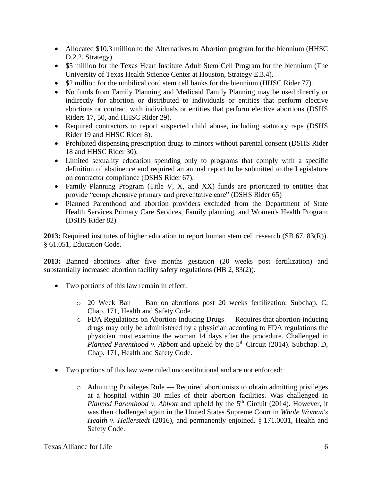- Allocated \$10.3 million to the Alternatives to Abortion program for the biennium (HHSC D.2.2. Strategy).
- \$5 million for the Texas Heart Institute Adult Stem Cell Program for the biennium (The University of Texas Health Science Center at Houston, Strategy E.3.4).
- \$2 million for the umbilical cord stem cell banks for the biennium (HHSC Rider 77).
- No funds from Family Planning and Medicaid Family Planning may be used directly or indirectly for abortion or distributed to individuals or entities that perform elective abortions or contract with individuals or entities that perform elective abortions (DSHS Riders 17, 50, and HHSC Rider 29).
- Required contractors to report suspected child abuse, including statutory rape (DSHS Rider 19 and HHSC Rider 8).
- Prohibited dispensing prescription drugs to minors without parental consent (DSHS Rider 18 and HHSC Rider 30).
- Limited sexuality education spending only to programs that comply with a specific definition of abstinence and required an annual report to be submitted to the Legislature on contractor compliance (DSHS Rider 67).
- Family Planning Program (Title V, X, and XX) funds are prioritized to entities that provide "comprehensive primary and preventative care" (DSHS Rider 65)
- Planned Parenthood and abortion providers excluded from the Department of State Health Services Primary Care Services, Family planning, and Women's Health Program (DSHS Rider 82)

**2013:** Required institutes of higher education to report human stem cell research (SB 67, 83(R)). § 61.051, Education Code.

**2013:** Banned abortions after five months gestation (20 weeks post fertilization) and substantially increased abortion facility safety regulations (HB 2, 83(2)).

- Two portions of this law remain in effect:
	- o 20 Week Ban Ban on abortions post 20 weeks fertilization. Subchap. C, Chap. 171, Health and Safety Code.
	- o FDA Regulations on Abortion-Inducing Drugs Requires that abortion-inducing drugs may only be administered by a physician according to FDA regulations the physician must examine the woman 14 days after the procedure. Challenged in *Planned Parenthood v. Abbott* and upheld by the 5<sup>th</sup> Circuit (2014). Subchap. D, Chap. 171, Health and Safety Code.
- Two portions of this law were ruled unconstitutional and are not enforced:
	- o Admitting Privileges Rule Required abortionists to obtain admitting privileges at a hospital within 30 miles of their abortion facilities. Was challenged in *Planned Parenthood v. Abbott* and upheld by the 5<sup>th</sup> Circuit (2014). However, it was then challenged again in the United States Supreme Court in *Whole Woman's Health v. Hellerstedt* (2016), and permanently enjoined. § 171.0031, Health and Safety Code.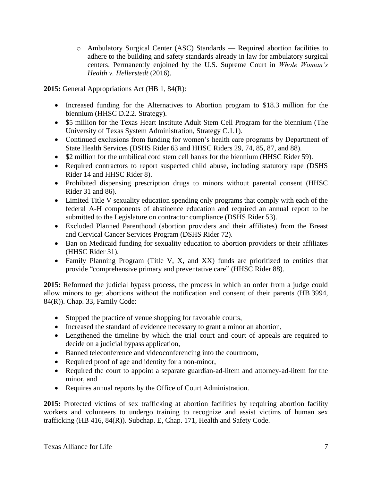o Ambulatory Surgical Center (ASC) Standards — Required abortion facilities to adhere to the building and safety standards already in law for ambulatory surgical centers. Permanently enjoined by the U.S. Supreme Court in *Whole Woman's Health v. Hellerstedt* (2016).

**2015:** General Appropriations Act (HB 1, 84(R):

- Increased funding for the Alternatives to Abortion program to \$18.3 million for the biennium (HHSC D.2.2. Strategy).
- \$5 million for the Texas Heart Institute Adult Stem Cell Program for the biennium (The University of Texas System Administration, Strategy C.1.1).
- Continued exclusions from funding for women's health care programs by Department of State Health Services (DSHS Rider 63 and HHSC Riders 29, 74, 85, 87, and 88).
- \$2 million for the umbilical cord stem cell banks for the biennium (HHSC Rider 59).
- Required contractors to report suspected child abuse, including statutory rape (DSHS) Rider 14 and HHSC Rider 8).
- Prohibited dispensing prescription drugs to minors without parental consent (HHSC Rider 31 and 86).
- Limited Title V sexuality education spending only programs that comply with each of the federal A-H components of abstinence education and required an annual report to be submitted to the Legislature on contractor compliance (DSHS Rider 53).
- Excluded Planned Parenthood (abortion providers and their affiliates) from the Breast and Cervical Cancer Services Program (DSHS Rider 72).
- Ban on Medicaid funding for sexuality education to abortion providers or their affiliates (HHSC Rider 31).
- Family Planning Program (Title V, X, and XX) funds are prioritized to entities that provide "comprehensive primary and preventative care" (HHSC Rider 88).

**2015:** Reformed the judicial bypass process, the process in which an order from a judge could allow minors to get abortions without the notification and consent of their parents (HB 3994, 84(R)). Chap. 33, Family Code:

- Stopped the practice of venue shopping for favorable courts,
- Increased the standard of evidence necessary to grant a minor an abortion,
- Lengthened the timeline by which the trial court and court of appeals are required to decide on a judicial bypass application,
- Banned teleconference and videoconferencing into the courtroom,
- Required proof of age and identity for a non-minor,
- Required the court to appoint a separate guardian-ad-litem and attorney-ad-litem for the minor, and
- Requires annual reports by the Office of Court Administration.

2015: Protected victims of sex trafficking at abortion facilities by requiring abortion facility workers and volunteers to undergo training to recognize and assist victims of human sex trafficking (HB 416, 84(R)). Subchap. E, Chap. 171, Health and Safety Code.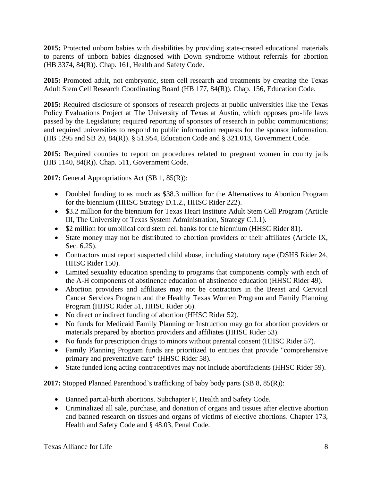**2015:** Protected unborn babies with disabilities by providing state-created educational materials to parents of unborn babies diagnosed with Down syndrome without referrals for abortion (HB 3374, 84(R)). Chap. 161, Health and Safety Code.

**2015:** Promoted adult, not embryonic, stem cell research and treatments by creating the Texas Adult Stem Cell Research Coordinating Board (HB 177, 84(R)). Chap. 156, Education Code.

**2015:** Required disclosure of sponsors of research projects at public universities like the Texas Policy Evaluations Project at The University of Texas at Austin, which opposes pro-life laws passed by the Legislature; required reporting of sponsors of research in public communications; and required universities to respond to public information requests for the sponsor information. (HB 1295 and SB 20, 84(R)). § 51.954, Education Code and § 321.013, Government Code.

**2015:** Required counties to report on procedures related to pregnant women in county jails (HB 1140, 84(R)). Chap. 511, Government Code.

**2017:** General Appropriations Act (SB 1, 85(R)):

- Doubled funding to as much as \$38.3 million for the Alternatives to Abortion Program for the biennium (HHSC Strategy D.1.2., HHSC Rider 222).
- \$3.2 million for the biennium for Texas Heart Institute Adult Stem Cell Program (Article III, The University of Texas System Administration, Strategy C.1.1).
- \$2 million for umbilical cord stem cell banks for the biennium (HHSC Rider 81).
- State money may not be distributed to abortion providers or their affiliates (Article IX, Sec. 6.25).
- Contractors must report suspected child abuse, including statutory rape (DSHS Rider 24, HHSC Rider 150).
- Limited sexuality education spending to programs that components comply with each of the A-H components of abstinence education of abstinence education (HHSC Rider 49).
- Abortion providers and affiliates may not be contractors in the Breast and Cervical Cancer Services Program and the Healthy Texas Women Program and Family Planning Program (HHSC Rider 51, HHSC Rider 56).
- No direct or indirect funding of abortion (HHSC Rider 52).
- No funds for Medicaid Family Planning or Instruction may go for abortion providers or materials prepared by abortion providers and affiliates (HHSC Rider 53).
- No funds for prescription drugs to minors without parental consent (HHSC Rider 57).
- Family Planning Program funds are prioritized to entities that provide "comprehensive" primary and preventative care" (HHSC Rider 58).
- State funded long acting contraceptives may not include abortifacients (HHSC Rider 59).

**2017:** Stopped Planned Parenthood's trafficking of baby body parts (SB 8, 85(R)):

- Banned partial-birth abortions. Subchapter F, Health and Safety Code.
- Criminalized all sale, purchase, and donation of organs and tissues after elective abortion and banned research on tissues and organs of victims of elective abortions. Chapter 173, Health and Safety Code and § 48.03, Penal Code.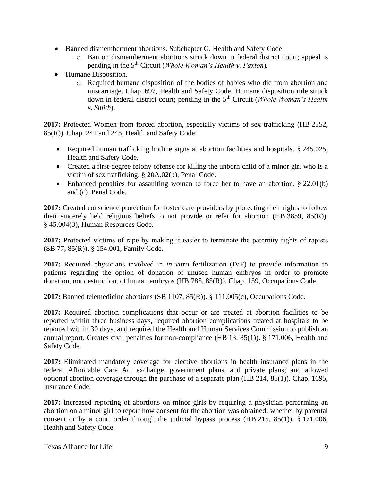- Banned dismemberment abortions. Subchapter G, Health and Safety Code.
	- o Ban on dismemberment abortions struck down in federal district court; appeal is pending in the 5th Circuit (*Whole Woman's Health v. Paxton*)*.*
- Humane Disposition.
	- o Required humane disposition of the bodies of babies who die from abortion and miscarriage. Chap. 697, Health and Safety Code. Humane disposition rule struck down in federal district court; pending in the 5th Circuit (*Whole Woman's Health v. Smith*).

**2017:** Protected Women from forced abortion, especially victims of sex trafficking (HB 2552, 85(R)). Chap. 241 and 245, Health and Safety Code:

- Required human trafficking hotline signs at abortion facilities and hospitals. § 245.025, Health and Safety Code.
- Created a first-degree felony offense for killing the unborn child of a minor girl who is a victim of sex trafficking. § 20A.02(b), Penal Code.
- Enhanced penalties for assaulting woman to force her to have an abortion. § 22.01(b) and (c), Penal Code.

**2017:** Created conscience protection for foster care providers by protecting their rights to follow their sincerely held religious beliefs to not provide or refer for abortion (HB 3859, 85(R)). § 45.004(3), Human Resources Code.

**2017:** Protected victims of rape by making it easier to terminate the paternity rights of rapists (SB 77, 85(R)). § 154.001, Family Code.

**2017:** Required physicians involved in *in vitro* fertilization (IVF) to provide information to patients regarding the option of donation of unused human embryos in order to promote donation, not destruction, of human embryos (HB 785, 85(R)). Chap. 159, Occupations Code.

**2017:** Banned telemedicine abortions (SB 1107, 85(R)). § 111.005(c), Occupations Code.

**2017:** Required abortion complications that occur or are treated at abortion facilities to be reported within three business days, required abortion complications treated at hospitals to be reported within 30 days, and required the Health and Human Services Commission to publish an annual report. Creates civil penalties for non-compliance (HB 13, 85(1)). § 171.006, Health and Safety Code.

**2017:** Eliminated mandatory coverage for elective abortions in health insurance plans in the federal Affordable Care Act exchange, government plans, and private plans; and allowed optional abortion coverage through the purchase of a separate plan (HB 214, 85(1)). Chap. 1695, Insurance Code.

**2017:** Increased reporting of abortions on minor girls by requiring a physician performing an abortion on a minor girl to report how consent for the abortion was obtained: whether by parental consent or by a court order through the judicial bypass process (HB 215, 85(1)). § 171.006, Health and Safety Code.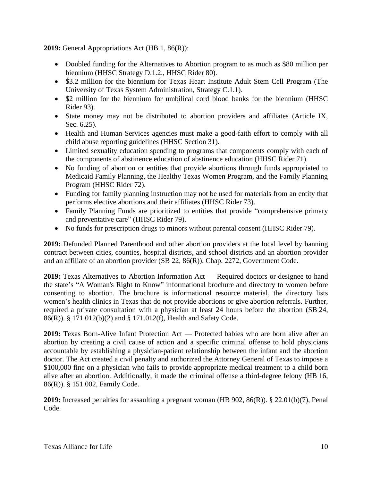**2019:** General Appropriations Act (HB 1, 86(R)):

- Doubled funding for the Alternatives to Abortion program to as much as \$80 million per biennium (HHSC Strategy D.1.2., HHSC Rider 80).
- \$3.2 million for the biennium for Texas Heart Institute Adult Stem Cell Program (The University of Texas System Administration, Strategy C.1.1).
- \$2 million for the biennium for umbilical cord blood banks for the biennium (HHSC Rider 93).
- State money may not be distributed to abortion providers and affiliates (Article IX, Sec. 6.25).
- Health and Human Services agencies must make a good-faith effort to comply with all child abuse reporting guidelines (HHSC Section 31).
- Limited sexuality education spending to programs that components comply with each of the components of abstinence education of abstinence education (HHSC Rider 71).
- No funding of abortion or entities that provide abortions through funds appropriated to Medicaid Family Planning, the Healthy Texas Women Program, and the Family Planning Program (HHSC Rider 72).
- Funding for family planning instruction may not be used for materials from an entity that performs elective abortions and their affiliates (HHSC Rider 73).
- Family Planning Funds are prioritized to entities that provide "comprehensive primary and preventative care" (HHSC Rider 79).
- No funds for prescription drugs to minors without parental consent (HHSC Rider 79).

**2019:** Defunded Planned Parenthood and other abortion providers at the local level by banning contract between cities, counties, hospital districts, and school districts and an abortion provider and an affiliate of an abortion provider (SB 22, 86(R)). Chap. 2272, Government Code.

**2019:** Texas Alternatives to Abortion Information Act — Required doctors or designee to hand the state's "A Woman's Right to Know" informational brochure and directory to women before consenting to abortion. The brochure is informational resource material, the directory lists women's health clinics in Texas that do not provide abortions or give abortion referrals. Further, required a private consultation with a physician at least 24 hours before the abortion (SB 24, 86(R)). § 171.012(b)(2) and § 171.012(f), Health and Safety Code.

**2019:** Texas Born-Alive Infant Protection Act — Protected babies who are born alive after an abortion by creating a civil cause of action and a specific criminal offense to hold physicians accountable by establishing a physician-patient relationship between the infant and the abortion doctor. The Act created a civil penalty and authorized the Attorney General of Texas to impose a \$100,000 fine on a physician who fails to provide appropriate medical treatment to a child born alive after an abortion. Additionally, it made the criminal offense a third-degree felony (HB 16, 86(R)). § 151.002, Family Code.

**2019:** Increased penalties for assaulting a pregnant woman (HB 902, 86(R)). § 22.01(b)(7), Penal Code.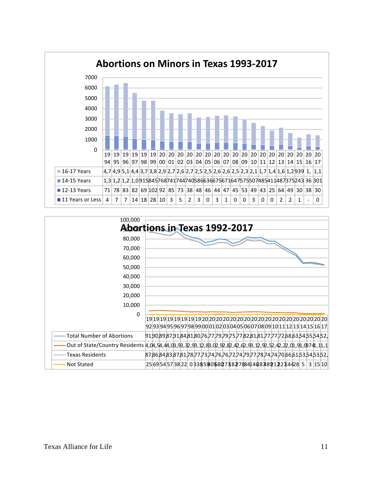